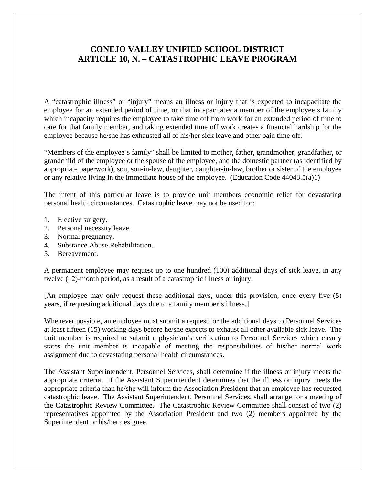## **CONEJO VALLEY UNIFIED SCHOOL DISTRICT ARTICLE 10, N. – CATASTROPHIC LEAVE PROGRAM**

 A "catastrophic illness" or "injury" means an illness or injury that is expected to incapacitate the employee for an extended period of time, or that incapacitates a member of the employee's family which incapacity requires the employee to take time off from work for an extended period of time to care for that family member, and taking extended time off work creates a financial hardship for the employee because he/she has exhausted all of his/her sick leave and other paid time off.

 "Members of the employee's family" shall be limited to mother, father, grandmother, grandfather, or grandchild of the employee or the spouse of the employee, and the domestic partner (as identified by appropriate paperwork), son, son-in-law, daughter, daughter-in-law, brother or sister of the employee or any relative living in the immediate house of the employee. (Education Code 44043.5(a)1)

 The intent of this particular leave is to provide unit members economic relief for devastating personal health circumstances. Catastrophic leave may not be used for:

- 1. Elective surgery.
- 2. Personal necessity leave.
- 3. Normal pregnancy.
- 4. Substance Abuse Rehabilitation.
- 5. Bereavement.

 A permanent employee may request up to one hundred (100) additional days of sick leave, in any twelve (12)-month period, as a result of a catastrophic illness or injury.

 [An employee may only request these additional days, under this provision, once every five (5) years, if requesting additional days due to a family member's illness.]

 Whenever possible, an employee must submit a request for the additional days to Personnel Services at least fifteen (15) working days before he/she expects to exhaust all other available sick leave. The unit member is required to submit a physician's verification to Personnel Services which clearly states the unit member is incapable of meeting the responsibilities of his/her normal work assignment due to devastating personal health circumstances.

 The Assistant Superintendent, Personnel Services, shall determine if the illness or injury meets the appropriate criteria. If the Assistant Superintendent determines that the illness or injury meets the appropriate criteria than he/she will inform the Association President that an employee has requested catastrophic leave. The Assistant Superintendent, Personnel Services, shall arrange for a meeting of the Catastrophic Review Committee. The Catastrophic Review Committee shall consist of two (2) representatives appointed by the Association President and two (2) members appointed by the Superintendent or his/her designee.